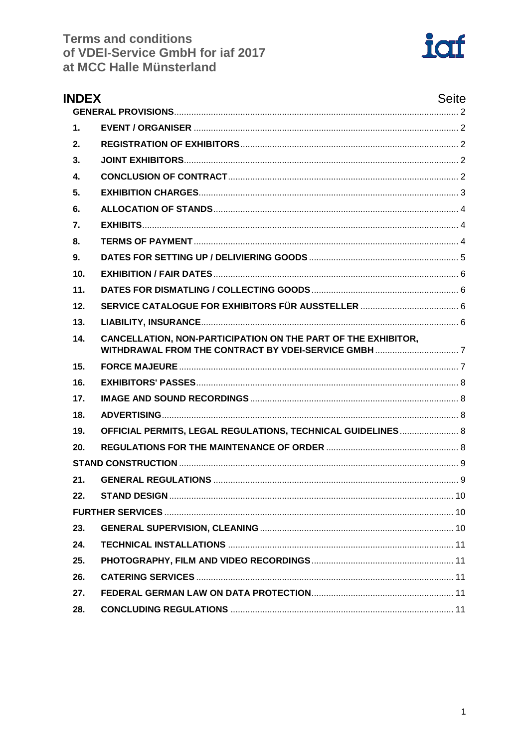

| <b>INDEX</b>    |                                                               | <b>Seite</b> |
|-----------------|---------------------------------------------------------------|--------------|
| $\mathbf 1$ .   |                                                               |              |
| 2.              |                                                               |              |
| 3.              |                                                               |              |
| 4.              |                                                               |              |
| 5.              |                                                               |              |
| 6.              |                                                               |              |
| 7.              |                                                               |              |
| 8.              |                                                               |              |
| 9.              |                                                               |              |
| 10 <sub>1</sub> |                                                               |              |
| 11.             |                                                               |              |
| 12.             |                                                               |              |
| 13.             |                                                               |              |
| 14.             | CANCELLATION, NON-PARTICIPATION ON THE PART OF THE EXHIBITOR, |              |
| 15.             |                                                               |              |
| 16.             |                                                               |              |
| 17.             |                                                               |              |
| 18.             |                                                               |              |
| 19.             | OFFICIAL PERMITS, LEGAL REGULATIONS, TECHNICAL GUIDELINES  8  |              |
| 20.             |                                                               |              |
|                 |                                                               |              |
| 21.             |                                                               |              |
| 22.             |                                                               |              |
|                 |                                                               |              |
| 23.             |                                                               |              |
| 24.             |                                                               |              |
| 25.             |                                                               |              |
| 26.             |                                                               |              |
| 27.             |                                                               |              |
| 28.             |                                                               |              |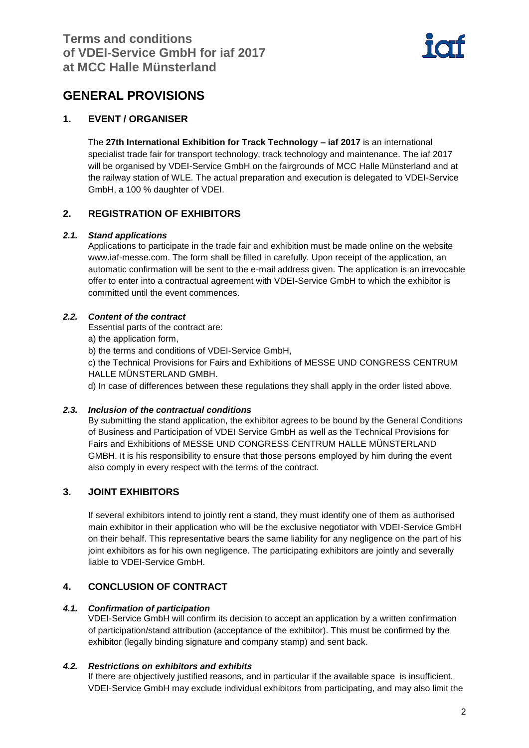# <span id="page-1-0"></span>**GENERAL PROVISIONS**

# <span id="page-1-1"></span>**1. EVENT / ORGANISER**

The **27th International Exhibition for Track Technology – iaf 2017** is an international specialist trade fair for transport technology, track technology and maintenance. The iaf 2017 will be organised by VDEI-Service GmbH on the fairgrounds of MCC Halle Münsterland and at the railway station of WLE. The actual preparation and execution is delegated to VDEI-Service GmbH, a 100 % daughter of VDEI.

# <span id="page-1-2"></span>**2. REGISTRATION OF EXHIBITORS**

# *2.1. Stand applications*

Applications to participate in the trade fair and exhibition must be made online on the website www.iaf-messe.com. The form shall be filled in carefully. Upon receipt of the application, an automatic confirmation will be sent to the e-mail address given. The application is an irrevocable offer to enter into a contractual agreement with VDEI-Service GmbH to which the exhibitor is committed until the event commences.

# *2.2. Content of the contract*

Essential parts of the contract are:

a) the application form,

b) the terms and conditions of VDEI-Service GmbH,

c) the Technical Provisions for Fairs and Exhibitions of MESSE UND CONGRESS CENTRUM HALLE MÜNSTERLAND GMBH.

d) In case of differences between these regulations they shall apply in the order listed above.

# *2.3. Inclusion of the contractual conditions*

By submitting the stand application, the exhibitor agrees to be bound by the General Conditions of Business and Participation of VDEI Service GmbH as well as the Technical Provisions for Fairs and Exhibitions of MESSE UND CONGRESS CENTRUM HALLE MÜNSTERLAND GMBH. It is his responsibility to ensure that those persons employed by him during the event also comply in every respect with the terms of the contract.

# <span id="page-1-3"></span>**3. JOINT EXHIBITORS**

If several exhibitors intend to jointly rent a stand, they must identify one of them as authorised main exhibitor in their application who will be the exclusive negotiator with VDEI-Service GmbH on their behalf. This representative bears the same liability for any negligence on the part of his joint exhibitors as for his own negligence. The participating exhibitors are jointly and severally liable to VDEI-Service GmbH.

# <span id="page-1-4"></span>**4. CONCLUSION OF CONTRACT**

# *4.1. Confirmation of participation*

VDEI-Service GmbH will confirm its decision to accept an application by a written confirmation of participation/stand attribution (acceptance of the exhibitor). This must be confirmed by the exhibitor (legally binding signature and company stamp) and sent back.

# *4.2. Restrictions on exhibitors and exhibits*

If there are objectively justified reasons, and in particular if the available space is insufficient, VDEI-Service GmbH may exclude individual exhibitors from participating, and may also limit the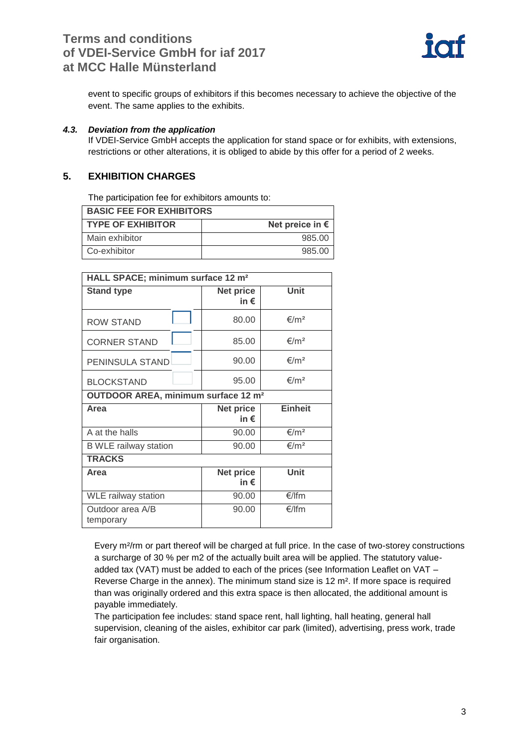

event to specific groups of exhibitors if this becomes necessary to achieve the objective of the event. The same applies to the exhibits.

### *4.3. Deviation from the application*

If VDEI-Service GmbH accepts the application for stand space or for exhibits, with extensions, restrictions or other alterations, it is obliged to abide by this offer for a period of 2 weeks.

# <span id="page-2-0"></span>**5. EXHIBITION CHARGES**

The participation fee for exhibitors amounts to:

| <b>BASIC FEE FOR EXHIBITORS</b> |                          |  |
|---------------------------------|--------------------------|--|
| <b>TYPE OF EXHIBITOR</b>        | Net preice in $\epsilon$ |  |
| Main exhibitor                  | 985.00                   |  |
| Co-exhibitor                    | 985.00                   |  |

| HALL SPACE; minimum surface 12 m <sup>2</sup>   |                                   |                  |  |
|-------------------------------------------------|-----------------------------------|------------------|--|
| <b>Stand type</b>                               | <b>Net price</b><br>in $\epsilon$ | <b>Unit</b>      |  |
| <b>ROW STAND</b>                                | 80.00                             | $€/m^2$          |  |
| <b>CORNER STAND</b>                             | 85.00                             | $€/m^2$          |  |
| PENINSULA STAND                                 | 90.00                             | $€/m^2$          |  |
| <b>BLOCKSTAND</b>                               | 95.00                             | $€/m^2$          |  |
| OUTDOOR AREA, minimum surface 12 m <sup>2</sup> |                                   |                  |  |
| Area                                            | <b>Net price</b><br>in $\epsilon$ | <b>Einheit</b>   |  |
| A at the halls                                  | 90.00                             | €/m <sup>2</sup> |  |
| <b>B WLE railway station</b>                    | 90.00                             | €/m <sup>2</sup> |  |
| <b>TRACKS</b>                                   |                                   |                  |  |
| Area                                            | <b>Net price</b><br>in €          | Unit             |  |
| <b>WLE</b> railway station                      | 90.00                             | €/lfm            |  |
| Outdoor area A/B<br>temporary                   | 90.00                             | €/lfm            |  |

Every m²/rm or part thereof will be charged at full price. In the case of two-storey constructions a surcharge of 30 % per m2 of the actually built area will be applied. The statutory valueadded tax (VAT) must be added to each of the prices (see Information Leaflet on VAT – Reverse Charge in the annex). The minimum stand size is 12 m². If more space is required than was originally ordered and this extra space is then allocated, the additional amount is payable immediately.

The participation fee includes: stand space rent, hall lighting, hall heating, general hall supervision, cleaning of the aisles, exhibitor car park (limited), advertising, press work, trade fair organisation.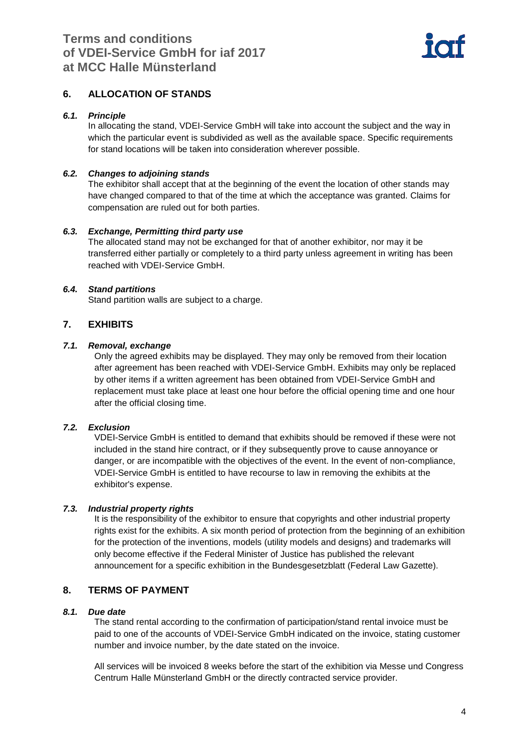

# <span id="page-3-0"></span>**6. ALLOCATION OF STANDS**

### *6.1. Principle*

In allocating the stand, VDEI-Service GmbH will take into account the subject and the way in which the particular event is subdivided as well as the available space. Specific requirements for stand locations will be taken into consideration wherever possible.

### *6.2. Changes to adjoining stands*

The exhibitor shall accept that at the beginning of the event the location of other stands may have changed compared to that of the time at which the acceptance was granted. Claims for compensation are ruled out for both parties.

## *6.3. Exchange, Permitting third party use*

The allocated stand may not be exchanged for that of another exhibitor, nor may it be transferred either partially or completely to a third party unless agreement in writing has been reached with VDEI-Service GmbH.

### *6.4. Stand partitions*

Stand partition walls are subject to a charge.

# <span id="page-3-1"></span>**7. EXHIBITS**

### *7.1. Removal, exchange*

Only the agreed exhibits may be displayed. They may only be removed from their location after agreement has been reached with VDEI-Service GmbH. Exhibits may only be replaced by other items if a written agreement has been obtained from VDEI-Service GmbH and replacement must take place at least one hour before the official opening time and one hour after the official closing time.

### *7.2. Exclusion*

VDEI-Service GmbH is entitled to demand that exhibits should be removed if these were not included in the stand hire contract, or if they subsequently prove to cause annoyance or danger, or are incompatible with the objectives of the event. In the event of non-compliance, VDEI-Service GmbH is entitled to have recourse to law in removing the exhibits at the exhibitor's expense.

### *7.3. Industrial property rights*

It is the responsibility of the exhibitor to ensure that copyrights and other industrial property rights exist for the exhibits. A six month period of protection from the beginning of an exhibition for the protection of the inventions, models (utility models and designs) and trademarks will only become effective if the Federal Minister of Justice has published the relevant announcement for a specific exhibition in the Bundesgesetzblatt (Federal Law Gazette).

# <span id="page-3-2"></span>**8. TERMS OF PAYMENT**

### *8.1. Due date*

The stand rental according to the confirmation of participation/stand rental invoice must be paid to one of the accounts of VDEI-Service GmbH indicated on the invoice, stating customer number and invoice number, by the date stated on the invoice.

All services will be invoiced 8 weeks before the start of the exhibition via Messe und Congress Centrum Halle Münsterland GmbH or the directly contracted service provider.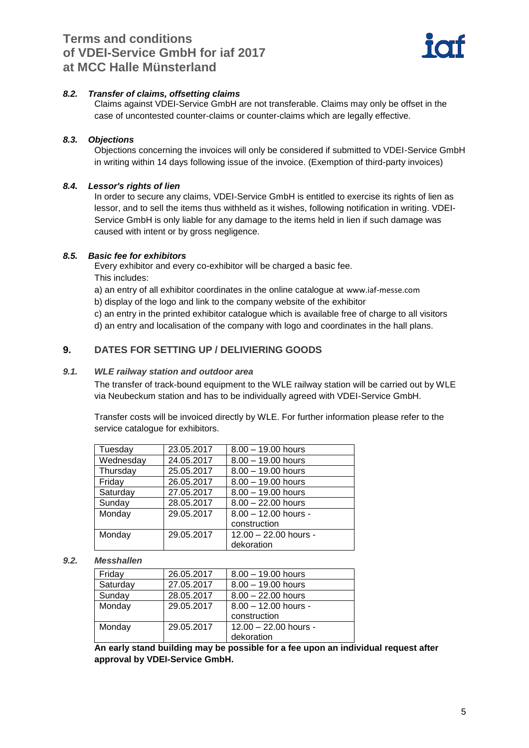

### *8.2. Transfer of claims, offsetting claims*

Claims against VDEI-Service GmbH are not transferable. Claims may only be offset in the case of uncontested counter-claims or counter-claims which are legally effective.

## *8.3. Objections*

Objections concerning the invoices will only be considered if submitted to VDEI-Service GmbH in writing within 14 days following issue of the invoice. (Exemption of third-party invoices)

### *8.4. Lessor's rights of lien*

In order to secure any claims, VDEI-Service GmbH is entitled to exercise its rights of lien as lessor, and to sell the items thus withheld as it wishes, following notification in writing. VDEI-Service GmbH is only liable for any damage to the items held in lien if such damage was caused with intent or by gross negligence.

## *8.5. Basic fee for exhibitors*

Every exhibitor and every co-exhibitor will be charged a basic fee.

This includes:

- a) an entry of all exhibitor coordinates in the online catalogue at [www.iaf-messe.com](http://www.iaf-messe.com/)
- b) display of the logo and link to the company website of the exhibitor
- c) an entry in the printed exhibitor catalogue which is available free of charge to all visitors
- d) an entry and localisation of the company with logo and coordinates in the hall plans.

# <span id="page-4-0"></span>**9. DATES FOR SETTING UP / DELIVIERING GOODS**

#### *9.1. WLE railway station and outdoor area*

The transfer of track-bound equipment to the WLE railway station will be carried out by WLE via Neubeckum station and has to be individually agreed with VDEI-Service GmbH.

Transfer costs will be invoiced directly by WLE. For further information please refer to the service catalogue for exhibitors.

| Tuesday   | 23.05.2017 | $8.00 - 19.00$ hours   |
|-----------|------------|------------------------|
| Wednesday | 24.05.2017 | $8.00 - 19.00$ hours   |
| Thursday  | 25.05.2017 | $8.00 - 19.00$ hours   |
| Friday    | 26.05.2017 | $8.00 - 19.00$ hours   |
| Saturday  | 27.05.2017 | $8.00 - 19.00$ hours   |
| Sunday    | 28.05.2017 | $8.00 - 22.00$ hours   |
| Monday    | 29.05.2017 | $8.00 - 12.00$ hours - |
|           |            | construction           |
| Monday    | 29.05.2017 | 12.00 - 22.00 hours -  |
|           |            | dekoration             |

#### *9.2. Messhallen*

| Friday   | 26.05.2017 | $8.00 - 19.00$ hours   |
|----------|------------|------------------------|
| Saturday | 27.05.2017 | $8.00 - 19.00$ hours   |
| Sunday   | 28.05.2017 | $8.00 - 22.00$ hours   |
| Monday   | 29.05.2017 | $8.00 - 12.00$ hours - |
|          |            | construction           |
| Monday   | 29.05.2017 | 12.00 - 22.00 hours -  |
|          |            | dekoration             |

**An early stand building may be possible for a fee upon an individual request after approval by VDEI-Service GmbH.**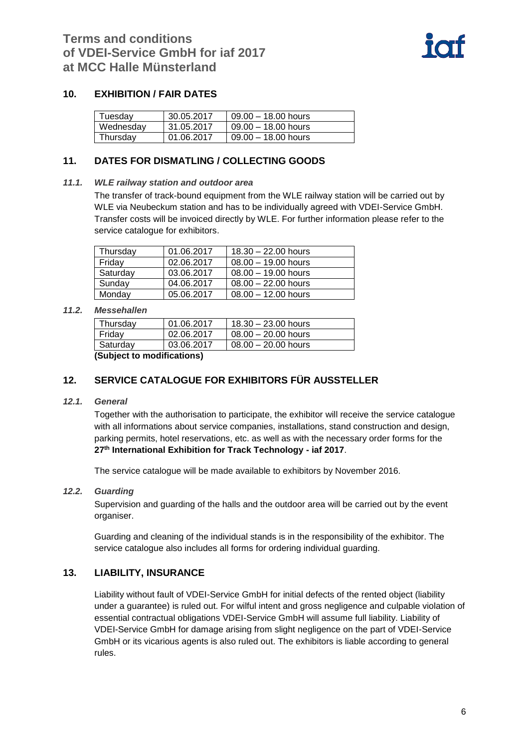

## <span id="page-5-0"></span>**10. EXHIBITION / FAIR DATES**

| Tuesday   | 30.05.2017 | $09.00 - 18.00$ hours |
|-----------|------------|-----------------------|
| Wednesday | 31.05.2017 | $09.00 - 18.00$ hours |
| Thursday  | 01.06.2017 | $09.00 - 18.00$ hours |

# <span id="page-5-1"></span>**11. DATES FOR DISMATLING / COLLECTING GOODS**

#### *11.1. WLE railway station and outdoor area*

The transfer of track-bound equipment from the WLE railway station will be carried out by WLE via Neubeckum station and has to be individually agreed with VDEI-Service GmbH. Transfer costs will be invoiced directly by WLE. For further information please refer to the service catalogue for exhibitors.

| Thursday | 01.06.2017 | $18.30 - 22.00$ hours |
|----------|------------|-----------------------|
| Friday   | 02.06.2017 | $08.00 - 19.00$ hours |
| Saturday | 03.06.2017 | $08.00 - 19.00$ hours |
| Sunday   | 04.06.2017 | $08.00 - 22.00$ hours |
| Monday   | 05.06.2017 | $08.00 - 12.00$ hours |

#### *11.2. Messehallen*

| Thursday                   | 01.06.2017 | $18.30 - 23.00$ hours |  |
|----------------------------|------------|-----------------------|--|
| Friday                     | 02.06.2017 | $08.00 - 20.00$ hours |  |
| Saturday                   | 03.06.2017 | $08.00 - 20.00$ hours |  |
| (Subject to modifications) |            |                       |  |

**(Subject to modifications)**

# <span id="page-5-2"></span>**12. SERVICE CATALOGUE FOR EXHIBITORS FÜR AUSSTELLER**

#### *12.1. General*

Together with the authorisation to participate, the exhibitor will receive the service catalogue with all informations about service companies, installations, stand construction and design, parking permits, hotel reservations, etc. as well as with the necessary order forms for the **27th International Exhibition for Track Technology - iaf 2017**.

The service catalogue will be made available to exhibitors by November 2016.

#### *12.2. Guarding*

Supervision and guarding of the halls and the outdoor area will be carried out by the event organiser.

Guarding and cleaning of the individual stands is in the responsibility of the exhibitor. The service catalogue also includes all forms for ordering individual guarding.

# <span id="page-5-3"></span>**13. LIABILITY, INSURANCE**

Liability without fault of VDEI-Service GmbH for initial defects of the rented object (liability under a guarantee) is ruled out. For wilful intent and gross negligence and culpable violation of essential contractual obligations VDEI-Service GmbH will assume full liability. Liability of VDEI-Service GmbH for damage arising from slight negligence on the part of VDEI-Service GmbH or its vicarious agents is also ruled out. The exhibitors is liable according to general rules.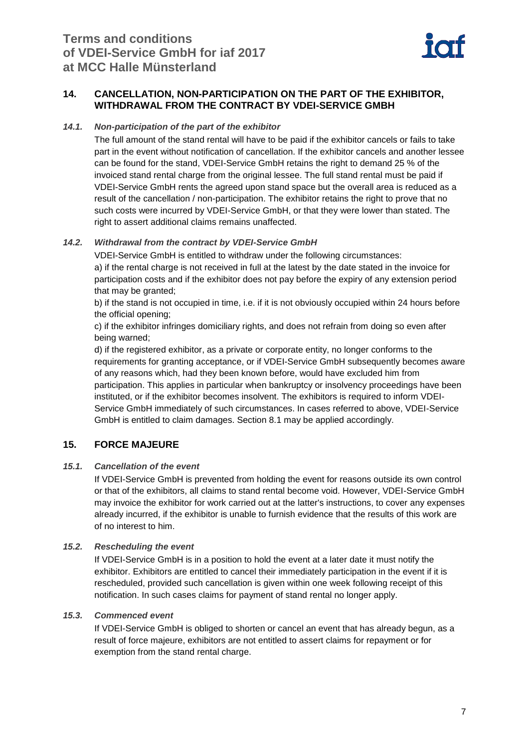

# <span id="page-6-0"></span>**14. CANCELLATION, NON-PARTICIPATION ON THE PART OF THE EXHIBITOR, WITHDRAWAL FROM THE CONTRACT BY VDEI-SERVICE GMBH**

### *14.1. Non-participation of the part of the exhibitor*

The full amount of the stand rental will have to be paid if the exhibitor cancels or fails to take part in the event without notification of cancellation. If the exhibitor cancels and another lessee can be found for the stand, VDEI-Service GmbH retains the right to demand 25 % of the invoiced stand rental charge from the original lessee. The full stand rental must be paid if VDEI-Service GmbH rents the agreed upon stand space but the overall area is reduced as a result of the cancellation / non-participation. The exhibitor retains the right to prove that no such costs were incurred by VDEI-Service GmbH, or that they were lower than stated. The right to assert additional claims remains unaffected.

## *14.2. Withdrawal from the contract by VDEI-Service GmbH*

VDEI-Service GmbH is entitled to withdraw under the following circumstances: a) if the rental charge is not received in full at the latest by the date stated in the invoice for participation costs and if the exhibitor does not pay before the expiry of any extension period that may be granted;

b) if the stand is not occupied in time, i.e. if it is not obviously occupied within 24 hours before the official opening;

c) if the exhibitor infringes domiciliary rights, and does not refrain from doing so even after being warned;

d) if the registered exhibitor, as a private or corporate entity, no longer conforms to the requirements for granting acceptance, or if VDEI-Service GmbH subsequently becomes aware of any reasons which, had they been known before, would have excluded him from participation. This applies in particular when bankruptcy or insolvency proceedings have been instituted, or if the exhibitor becomes insolvent. The exhibitors is required to inform VDEI-Service GmbH immediately of such circumstances. In cases referred to above, VDEI-Service GmbH is entitled to claim damages. Section 8.1 may be applied accordingly.

# <span id="page-6-1"></span>**15. FORCE MAJEURE**

### *15.1. Cancellation of the event*

If VDEI-Service GmbH is prevented from holding the event for reasons outside its own control or that of the exhibitors, all claims to stand rental become void. However, VDEI-Service GmbH may invoice the exhibitor for work carried out at the latter's instructions, to cover any expenses already incurred, if the exhibitor is unable to furnish evidence that the results of this work are of no interest to him.

### *15.2. Rescheduling the event*

If VDEI-Service GmbH is in a position to hold the event at a later date it must notify the exhibitor. Exhibitors are entitled to cancel their immediately participation in the event if it is rescheduled, provided such cancellation is given within one week following receipt of this notification. In such cases claims for payment of stand rental no longer apply.

### *15.3. Commenced event*

If VDEI-Service GmbH is obliged to shorten or cancel an event that has already begun, as a result of force majeure, exhibitors are not entitled to assert claims for repayment or for exemption from the stand rental charge.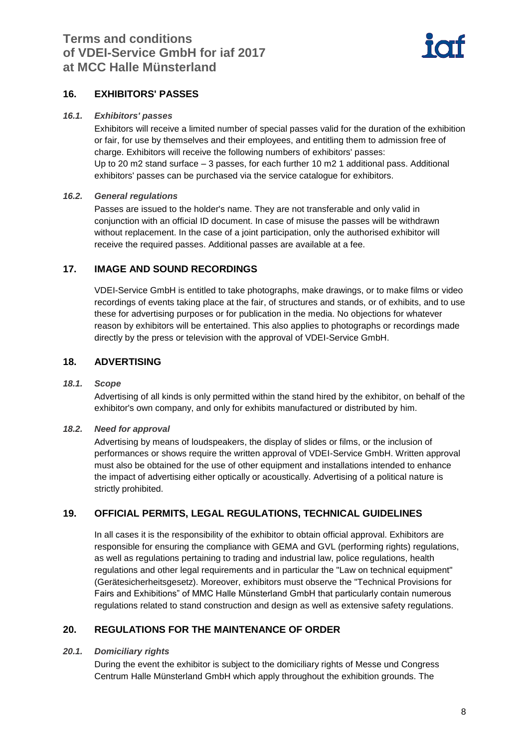# **Terms and conditions of VDEI-Service GmbH for iaf 2017 at MCC Halle Münsterland**



# <span id="page-7-0"></span>**16. EXHIBITORS' PASSES**

## *16.1. Exhibitors' passes*

Exhibitors will receive a limited number of special passes valid for the duration of the exhibition or fair, for use by themselves and their employees, and entitling them to admission free of charge. Exhibitors will receive the following numbers of exhibitors' passes: Up to 20 m2 stand surface – 3 passes, for each further 10 m2 1 additional pass. Additional exhibitors' passes can be purchased via the service catalogue for exhibitors.

## *16.2. General regulations*

Passes are issued to the holder's name. They are not transferable and only valid in conjunction with an official ID document. In case of misuse the passes will be withdrawn without replacement. In the case of a joint participation, only the authorised exhibitor will receive the required passes. Additional passes are available at a fee.

# <span id="page-7-1"></span>**17. IMAGE AND SOUND RECORDINGS**

VDEI-Service GmbH is entitled to take photographs, make drawings, or to make films or video recordings of events taking place at the fair, of structures and stands, or of exhibits, and to use these for advertising purposes or for publication in the media. No objections for whatever reason by exhibitors will be entertained. This also applies to photographs or recordings made directly by the press or television with the approval of VDEI-Service GmbH.

## <span id="page-7-2"></span>**18. ADVERTISING**

### *18.1. Scope*

Advertising of all kinds is only permitted within the stand hired by the exhibitor, on behalf of the exhibitor's own company, and only for exhibits manufactured or distributed by him.

### *18.2. Need for approval*

Advertising by means of loudspeakers, the display of slides or films, or the inclusion of performances or shows require the written approval of VDEI-Service GmbH. Written approval must also be obtained for the use of other equipment and installations intended to enhance the impact of advertising either optically or acoustically. Advertising of a political nature is strictly prohibited.

# <span id="page-7-3"></span>**19. OFFICIAL PERMITS, LEGAL REGULATIONS, TECHNICAL GUIDELINES**

In all cases it is the responsibility of the exhibitor to obtain official approval. Exhibitors are responsible for ensuring the compliance with GEMA and GVL (performing rights) regulations, as well as regulations pertaining to trading and industrial law, police regulations, health regulations and other legal requirements and in particular the "Law on technical equipment" (Gerätesicherheitsgesetz). Moreover, exhibitors must observe the "Technical Provisions for Fairs and Exhibitions" of MMC Halle Münsterland GmbH that particularly contain numerous regulations related to stand construction and design as well as extensive safety regulations.

# <span id="page-7-4"></span>**20. REGULATIONS FOR THE MAINTENANCE OF ORDER**

### *20.1. Domiciliary rights*

During the event the exhibitor is subject to the domiciliary rights of Messe und Congress Centrum Halle Münsterland GmbH which apply throughout the exhibition grounds. The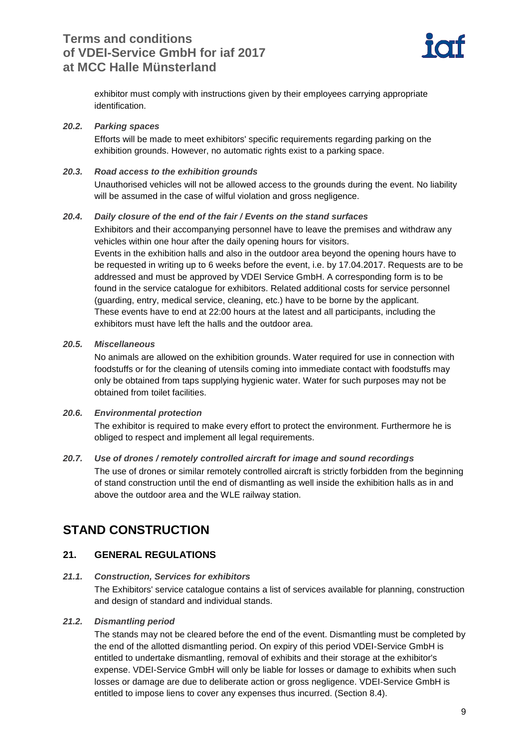

exhibitor must comply with instructions given by their employees carrying appropriate identification.

#### *20.2. Parking spaces*

Efforts will be made to meet exhibitors' specific requirements regarding parking on the exhibition grounds. However, no automatic rights exist to a parking space.

#### *20.3. Road access to the exhibition grounds*

Unauthorised vehicles will not be allowed access to the grounds during the event. No liability will be assumed in the case of wilful violation and gross negligence.

#### *20.4. Daily closure of the end of the fair / Events on the stand surfaces*

Exhibitors and their accompanying personnel have to leave the premises and withdraw any vehicles within one hour after the daily opening hours for visitors. Events in the exhibition halls and also in the outdoor area beyond the opening hours have to be requested in writing up to 6 weeks before the event, i.e. by 17.04.2017. Requests are to be addressed and must be approved by VDEI Service GmbH. A corresponding form is to be found in the service catalogue for exhibitors. Related additional costs for service personnel (guarding, entry, medical service, cleaning, etc.) have to be borne by the applicant. These events have to end at 22:00 hours at the latest and all participants, including the exhibitors must have left the halls and the outdoor area.

#### *20.5. Miscellaneous*

No animals are allowed on the exhibition grounds. Water required for use in connection with foodstuffs or for the cleaning of utensils coming into immediate contact with foodstuffs may only be obtained from taps supplying hygienic water. Water for such purposes may not be obtained from toilet facilities.

### *20.6. Environmental protection*

The exhibitor is required to make every effort to protect the environment. Furthermore he is obliged to respect and implement all legal requirements.

### *20.7. Use of drones / remotely controlled aircraft for image and sound recordings*

The use of drones or similar remotely controlled aircraft is strictly forbidden from the beginning of stand construction until the end of dismantling as well inside the exhibition halls as in and above the outdoor area and the WLE railway station.

# <span id="page-8-0"></span>**STAND CONSTRUCTION**

# <span id="page-8-1"></span>**21. GENERAL REGULATIONS**

### *21.1. Construction, Services for exhibitors*

The Exhibitors' service catalogue contains a list of services available for planning, construction and design of standard and individual stands.

### *21.2. Dismantling period*

The stands may not be cleared before the end of the event. Dismantling must be completed by the end of the allotted dismantling period. On expiry of this period VDEI-Service GmbH is entitled to undertake dismantling, removal of exhibits and their storage at the exhibitor's expense. VDEI-Service GmbH will only be liable for losses or damage to exhibits when such losses or damage are due to deliberate action or gross negligence. VDEI-Service GmbH is entitled to impose liens to cover any expenses thus incurred. (Section 8.4).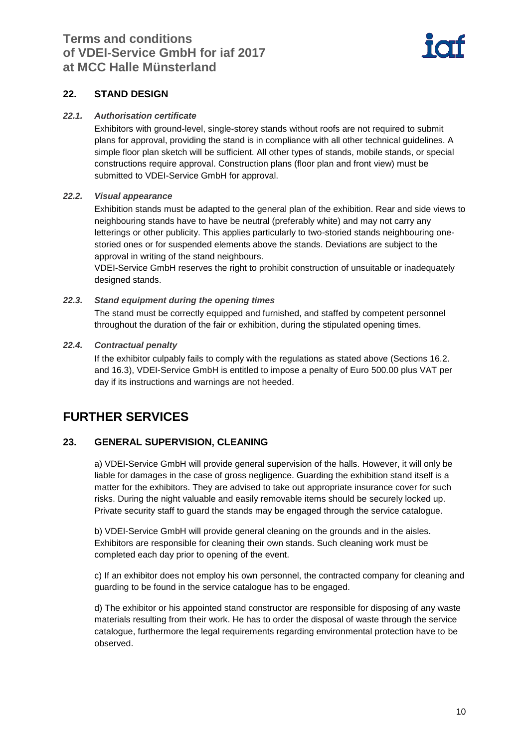# **Terms and conditions of VDEI-Service GmbH for iaf 2017 at MCC Halle Münsterland**



# <span id="page-9-0"></span>**22. STAND DESIGN**

### *22.1. Authorisation certificate*

Exhibitors with ground-level, single-storey stands without roofs are not required to submit plans for approval, providing the stand is in compliance with all other technical guidelines. A simple floor plan sketch will be sufficient. All other types of stands, mobile stands, or special constructions require approval. Construction plans (floor plan and front view) must be submitted to VDEI-Service GmbH for approval.

## *22.2. Visual appearance*

Exhibition stands must be adapted to the general plan of the exhibition. Rear and side views to neighbouring stands have to have be neutral (preferably white) and may not carry any letterings or other publicity. This applies particularly to two-storied stands neighbouring onestoried ones or for suspended elements above the stands. Deviations are subject to the approval in writing of the stand neighbours.

VDEI-Service GmbH reserves the right to prohibit construction of unsuitable or inadequately designed stands.

### *22.3. Stand equipment during the opening times*

The stand must be correctly equipped and furnished, and staffed by competent personnel throughout the duration of the fair or exhibition, during the stipulated opening times.

## *22.4. Contractual penalty*

If the exhibitor culpably fails to comply with the regulations as stated above (Sections 16.2. and 16.3), VDEI-Service GmbH is entitled to impose a penalty of Euro 500.00 plus VAT per day if its instructions and warnings are not heeded.

# <span id="page-9-1"></span>**FURTHER SERVICES**

# <span id="page-9-2"></span>**23. GENERAL SUPERVISION, CLEANING**

a) VDEI-Service GmbH will provide general supervision of the halls. However, it will only be liable for damages in the case of gross negligence. Guarding the exhibition stand itself is a matter for the exhibitors. They are advised to take out appropriate insurance cover for such risks. During the night valuable and easily removable items should be securely locked up. Private security staff to guard the stands may be engaged through the service catalogue.

b) VDEI-Service GmbH will provide general cleaning on the grounds and in the aisles. Exhibitors are responsible for cleaning their own stands. Such cleaning work must be completed each day prior to opening of the event.

c) If an exhibitor does not employ his own personnel, the contracted company for cleaning and guarding to be found in the service catalogue has to be engaged.

d) The exhibitor or his appointed stand constructor are responsible for disposing of any waste materials resulting from their work. He has to order the disposal of waste through the service catalogue, furthermore the legal requirements regarding environmental protection have to be observed.